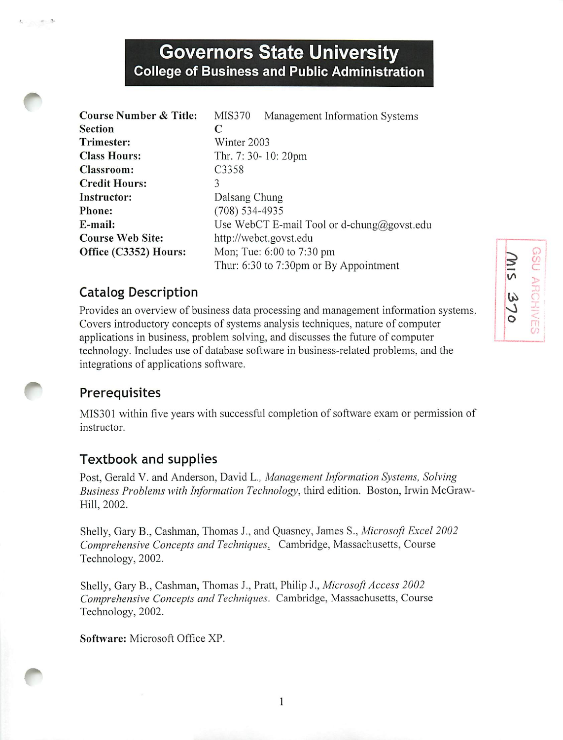# *Governors State University College of Business and Public Administration*

| <b>Course Number &amp; Title:</b> | <b>MIS370</b>        | Management Information Systems             |
|-----------------------------------|----------------------|--------------------------------------------|
| <b>Section</b>                    | C                    |                                            |
| <b>Trimester:</b>                 | Winter 2003          |                                            |
| <b>Class Hours:</b>               | Thr. 7: 30- 10: 20pm |                                            |
| <b>Classroom:</b>                 | C3358                |                                            |
| <b>Credit Hours:</b>              | 3                    |                                            |
| Instructor:                       | Dalsang Chung        |                                            |
| Phone:                            | $(708) 534 - 4935$   |                                            |
| E-mail:                           |                      | Use WebCT E-mail Tool or d-chung@govst.edu |
| <b>Course Web Site:</b>           |                      | http://webct.govst.edu                     |
| Office (C3352) Hours:             |                      | Mon; Tue: 6:00 to 7:30 pm                  |
|                                   |                      | Thur: 6:30 to 7:30pm or By Appointment     |

#### Catalog Description

Provides an overview of business data processing and management information systems. Covers introductory concepts of systems analysis techniques, nature of computer applications in business, problem solving, and discusses the future of computer technology. Includes use of database software in business-related problems, and the integrations of applications software.

#### **Prerequisites**

MIS301 within five years with successful completion of software exam or permission of instructor.

#### Textbook and supplies

Post, Gerald V. and Anderson, David L., **Management Information Systems, Solving Business Problems with Information Technology,** third edition. Boston, Irwin McGraw-Hill, 2002.

Shelly, Gary B., Cashman, Thomas J., and Quasney, James S., **Microsoft Excel 2002 Comprehensive Concepts and Techniques^** Cambridge, Massachusetts, Course Technology, 2002.

Shelly, Gary B., Cashman, Thomas J., Pratt, Philip J., **Microsoft Access 2002 Comprehensive Concepts and Techniques.** Cambridge, Massachusetts, Course Technology, 2002.

*Software:* Microsoft Office XP.

*r*

 $-13$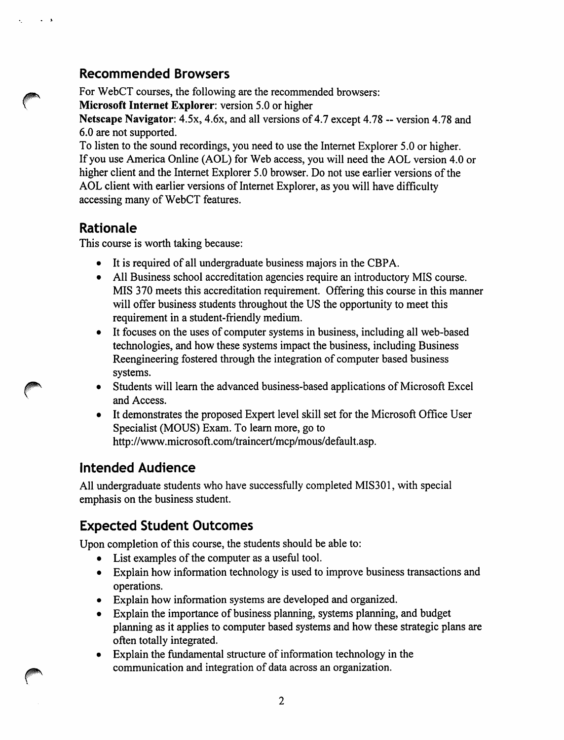#### *Recommended Browsers*

For WebCT courses, the following are the recommended browsers:

*Microsoft Internet Explorer:* version 5.0 or higher

**Netscape Navigator:** 4.5x, 4.6x, and all versions of 4.7 except 4.78 -- version 4.78 and 6.0 are not supported.

To listen to the sound recordings, you need to use the Internet Explorer 5.0 or higher. Ifyou use America Online (AOL) for Web access, you will need the AOL version 4.0 or higher client and the Internet Explorer 5.0 browser. Do not use earlier versions of the AOL client with earlier versions of Internet Explorer, as you will have difficulty accessing many of WebCT features.

### *Rationale*

This course is worth taking because:

- It is required of all undergraduate business majors in the CBPA.
- All Business school accreditation agencies require an introductory MIS course. MIS 370 meets this accreditation requirement. Offering this course in this manner will offer business students throughout the US the opportunity to meet this requirement in a student-friendly medium.
- It focuses on the uses of computer systems in business, including all web-based technologies, and how these systems impact the business, including Business Reengineering fostered through the integration of computer based business systems.
- Students will learn the advanced business-based applications of Microsoft Excel and Access.
- It demonstrates the proposed Expert level skill set for the Microsoft Office User Specialist (MOUS) Exam. To learn more, go to http://www.microsoft.com/traincert/mcp/mous/default.asp.

## *Intended Audience*

All undergraduate students who have successfully completed MIS301, with special emphasis on the business student.

## *Expected Student Outcomes*

Upon completion of this course, the students should be able to:

- List examples of the computer as a useful tool.
- Explain how information technology is used to improve business transactions and operations.
- Explain how information systems are developed and organized.
- Explain the importance of business planning, systems planning, and budget planning as it applies to computer based systems and how these strategic plans are often totally integrated.
- Explain the fundamental structure of information technology in the communication and integration of data across an organization.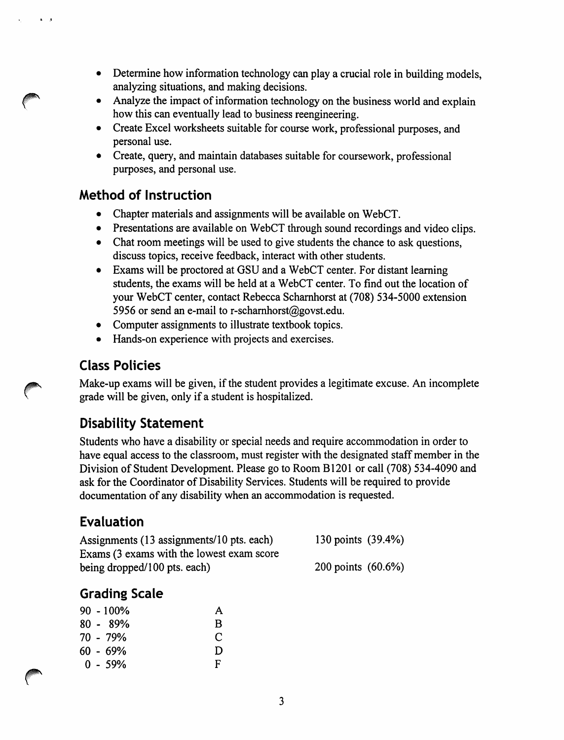- Determine how information technology can play a crucial role in building models, analyzing situations, and making decisions.
- Analyze the impact of information technology on the business world and explain how this can eventually lead to business reengineering.
- Create Excel worksheets suitable for course work, professional purposes, and personal use.
- Create, query, and maintain databases suitable for coursework, professional purposes, and personal use.

#### *Method of Instruction*

 $\mathbf{A} = \mathbf{A}$ 

- Chapter materials and assignments will be available on WebCT.
- Presentations are available on WebCT through sound recordings and video clips.
- Chat room meetings will be used to give students the chance to ask questions, discuss topics, receive feedback, interact with other students.
- Exams will be proctored at GSU and a WebCT center. For distant learning students, the exams will be held at a WebCT center. To find out the location of your WebCT center, contact Rebecca Scharnhorst at (708) 534-5000 extension 5956 or send an e-mail to r-scharnhorst@govst.edu.
- Computer assignments to illustrate textbook topics.
- Hands-on experience with projects and exercises.

## *Class Policies*

Make-up exams will be given, if the student provides a legitimate excuse. An incomplete grade will be given, only if a student is hospitalized.

## *Disability Statement*

Students who have a disability or special needs and require accommodation in order to have equal access to the classroom, must register with the designated staff member in the Division of Student Development. Please go to Room B1201 or call (708) 534-4090 and ask for the Coordinator of Disability Services. Students will be required to provide documentation of any disability when an accommodation is requested.

## *Evaluation*

| Assignments (13 assignments/10 pts. each) | 130 points (39.4%) |
|-------------------------------------------|--------------------|
| Exams (3 exams with the lowest exam score |                    |
| being dropped/100 pts. each)              | 200 points (60.6%) |

## *Grading Scale*

|  | $90 - 100\%$ | А |
|--|--------------|---|
|  | $80 - 89\%$  | B |
|  | 70 - 79%     | C |
|  | 60 - 69%     | D |
|  | $0 - 59\%$   | F |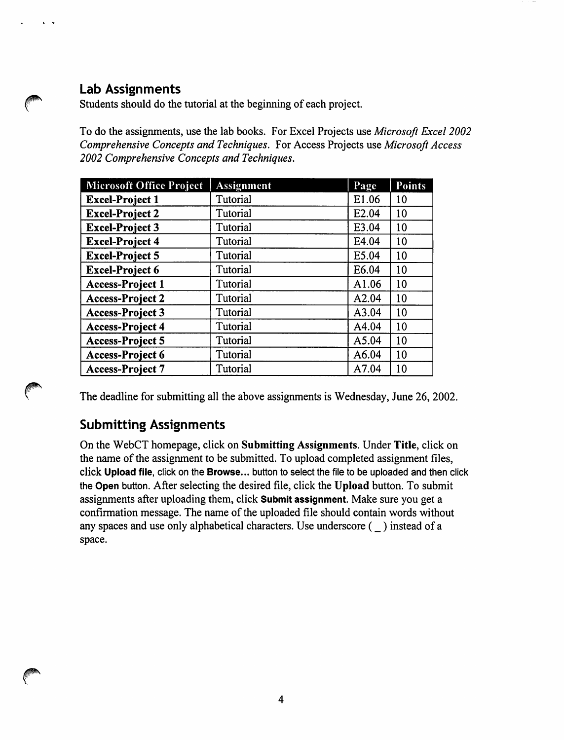#### *Lab Assignments*

Students should do the tutorial at the beginning of each project.

To do the assignments, use the lab books. For Excel Projects use *Microsoft Excel 2002* **Comprehensive Concepts and Techniques.** For Access Projects use **Microsoft Access 2002 Comprehensive Concepts and Techniques.**

| <b>Microsoft Office Project</b> | <b>Assignment</b> | Page              | <b>Points</b> |
|---------------------------------|-------------------|-------------------|---------------|
| <b>Excel-Project 1</b>          | Tutorial          | E1.06             | 10            |
| <b>Excel-Project 2</b>          | Tutorial          | E <sub>2.04</sub> | 10            |
| <b>Excel-Project 3</b>          | Tutorial          | E3.04             | 10            |
| <b>Excel-Project 4</b>          | Tutorial          | E4.04             | 10            |
| <b>Excel-Project 5</b>          | Tutorial          | E5.04             | 10            |
| <b>Excel-Project 6</b>          | Tutorial          | E6.04             | 10            |
| <b>Access-Project 1</b>         | Tutorial          | A1.06             | 10            |
| <b>Access-Project 2</b>         | Tutorial          | A2.04             | 10            |
| <b>Access-Project 3</b>         | Tutorial          | A3.04             | 10            |
| <b>Access-Project 4</b>         | Tutorial          | A4.04             | 10            |
| <b>Access-Project 5</b>         | Tutorial          | A5.04             | 10            |
| <b>Access-Project 6</b>         | Tutorial          | A6.04             | 10            |
| <b>Access-Project 7</b>         | Tutorial          | A7.04             | 10            |

The deadline for submitting all the above assignments is Wednesday, June 26, 2002.

#### *Submitting Assignments*

On the WebCT homepage, click on *Submitting Assignments.* Under *Title,* click on the name of the assignment to be submitted. To upload completed assignment files, click Upload file, click on the Browse... button to select the file to be uploaded and then click the *Open* button. After selecting the desired file, click the *Upload* button. To submit assignments after uploading them, click *Submit assignment.* Make sure you get a confirmation message. The name of the uploaded file should contain words without any spaces and use only alphabetical characters. Use underscore (\_) instead of a space.